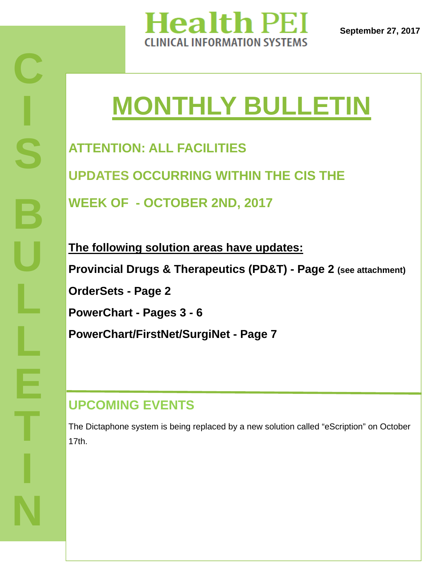

# **MONTHLY BULLETIN**

**ATTENTION: ALL FACILITIES UPDATES OCCURRING WITHIN THE CIS THE WEEK OF - OCTOBER 2ND, 2017** 

**The following solution areas have updates: Provincial Drugs & Therapeutics (PD&T) - Page 2 (see attachment) OrderSets - Page 2 PowerChart - Pages 3 - 6 PowerChart/FirstNet/SurgiNet - Page 7**

# **UPCOMING EVENTS**

The Dictaphone system is being replaced by a new solution called "eScription" on October 17th.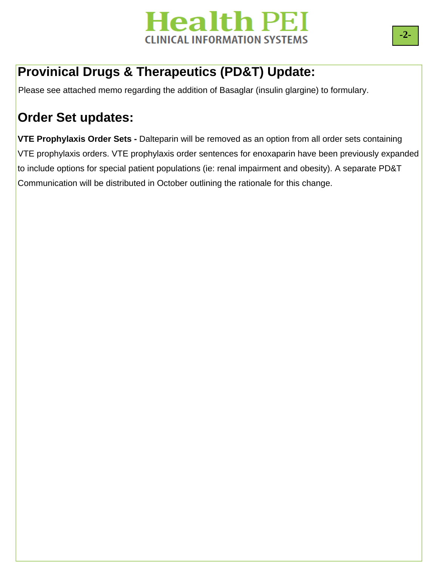

## **Provinical Drugs & Therapeutics (PD&T) Update:**

Please see attached memo regarding the addition of Basaglar (insulin glargine) to formulary.

# **Order Set updates:**

**VTE Prophylaxis Order Sets -** Dalteparin will be removed as an option from all order sets containing VTE prophylaxis orders. VTE prophylaxis order sentences for enoxaparin have been previously expanded to include options for special patient populations (ie: renal impairment and obesity). A separate PD&T Communication will be distributed in October outlining the rationale for this change.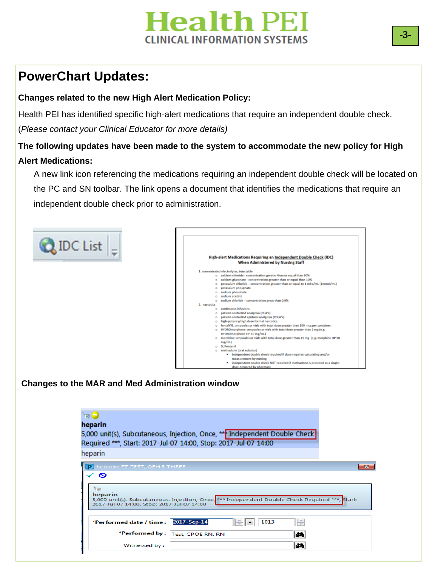# **Health PEI CLINICAL INFORMATION SYSTEMS**

# **PowerChart Updates:**

**C**

#### **Changes related to the new High Alert Medication Policy:**

Health PEI has identified specific high-alert medications that require an independent double check. (*Please contact your Clinical Educator for more details)* 

#### **The following updates have been made to the system to accommodate the new policy for High Alert Medications:**

A new link icon referencing the medications requiring an independent double check will be located on the PC and SN toolbar. The link opens a document that identifies the medications that require an independent double check prior to administration.



| heparin                                                                                                                                                             |                   |                                       |  |
|---------------------------------------------------------------------------------------------------------------------------------------------------------------------|-------------------|---------------------------------------|--|
| 5,000 unit(s), Subcutaneous, Injection, Once, ** Independent Double Check                                                                                           |                   |                                       |  |
| Required ***, Start: 2017-Jul-07 14:00, Stop: 2017-Jul-07 14:00                                                                                                     |                   |                                       |  |
| heparin                                                                                                                                                             |                   |                                       |  |
| heparin: ZZ TEST, QEH 8 THREE                                                                                                                                       |                   |                                       |  |
| $T + 8$<br>heparin<br>5,000 unit(s), Subcutaneous, Injection, Once, *** Independent Double Check Required ***, Start:<br>2017-Jul-07 14:00, Stop: 2017-Jul-07 14:00 |                   |                                       |  |
| *Performed date / time :                                                                                                                                            | ÷<br>2017-Sep-14  | H<br>1013<br>$\overline{\phantom{a}}$ |  |
| *Performed by :                                                                                                                                                     | Test, CPOE RN, RN | đф                                    |  |
|                                                                                                                                                                     |                   |                                       |  |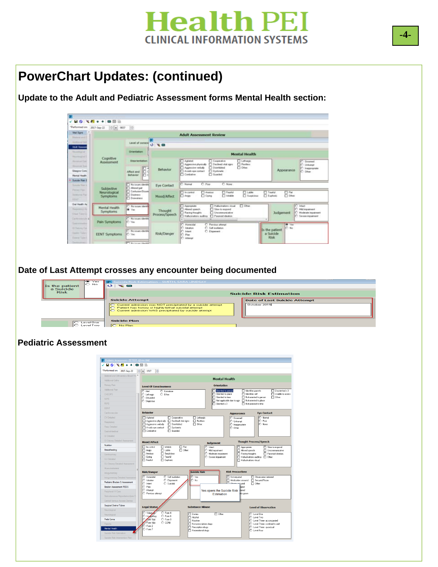

### **PowerChart Updates: (continued)**

**Update to the Adult and Pediatric Assessment forms Mental Health section:** 

|                                                               | *Performed.on: 2017-Sep-22 - 4 0637           |                                                                                        |                           |                                                                                                                                                                          |                                              |                                                       |
|---------------------------------------------------------------|-----------------------------------------------|----------------------------------------------------------------------------------------|---------------------------|--------------------------------------------------------------------------------------------------------------------------------------------------------------------------|----------------------------------------------|-------------------------------------------------------|
| Vital Signa<br><b>Elizabeth at the U</b>                      |                                               |                                                                                        |                           | <b>Adult Assessment Review</b>                                                                                                                                           |                                              |                                                       |
| Antique Tall<br><b>Adult Assessment</b>                       |                                               | Level of conscio 3 \ \ B                                                               |                           |                                                                                                                                                                          |                                              |                                                       |
| <b>Nonstrucial</b><br><b>Received</b>                         | Cramtation                                    |                                                                                        |                           | <b>Mental Health</b>                                                                                                                                                     |                                              |                                                       |
| <b>Montered Code</b><br><b>Montreal State</b>                 | Cognitive<br>Assessment                       | Disorientation                                                                         |                           | <b>Dichago</b><br>D Agkated<br><b>Cooperative</b><br>Aggressive physicals [7] Declined vital signs<br><b>D</b> Realists                                                  |                                              | Generated<br>C Unkerest                               |
| Glasgow Conc<br>Martol Health                                 |                                               | Юd<br>Affect and<br>Behavior<br>IП d                                                   | Behavior                  | Appening verbalu<br><b>Cionhèsia</b><br>$\Box$ Often:<br>Avoid: eye contact<br>Dystantic<br><b>Cluested</b><br>Combative                                                 | Appearance                                   | C Inappropriate<br>C Clier                            |
| <b>Suicide Rail E</b><br>Tommite Visual II                    |                                               | T No issues identified                                                                 | Eye Contact               | C Namal<br>C. Poo<br>C None                                                                                                                                              |                                              |                                                       |
| <b>Parriers (Pain)</b><br><b>Architectural Plats</b><br>REED! | Subjective<br>Neurological<br><b>Symptoms</b> | Ahmed gait<br>Contains/Disore<br><b>TT Districts</b><br>Mood/Affect<br><b>Downings</b> |                           | <b>D</b> Incontrol<br><b>Newcast</b><br>$\Box$ Lable<br><b>TT</b> Teatur<br>Featu<br>$\Box$ Cores<br><b>TI</b> listable<br><b>D</b> Suspicious<br>Eighnic<br>$\Box$ Args | $\Box$ Fist<br>$\Box$ Diher                  |                                                       |
| Onl Health As<br><b>Newsman Rd</b><br><b>Chaud Tiabach</b>    | Mental Health<br><b>Symptoms</b>              | C No issues identi-<br><b>B</b> Yes                                                    | Thought<br>Process/Speech | Halucinations visual<br><b>ITT</b> Other<br><b>T</b> Appropriate<br>Ahared speech<br>Slow to respond<br><b>ITI Uncommunicative</b><br><b>T</b> Racing thoughts           | Judgement                                    | C Intact<br>C Mid inpairment<br>C Moderate impairment |
| Carthropolylaigh<br><b>Conversion</b>                         | Pain Symptoms                                 | <sup>O</sup> No icoust identity<br><b>IC</b> Yes                                       |                           | FT Malucirustons auditor FT Paranoid idealize.<br>C Honestal<br>C Previous attempt                                                                                       | <b>GEOVE</b>                                 | C: Severe inpairment                                  |
| Ci Ostrony (Sa)<br>Same Takes<br>Found Tried                  | <b>EENT Symptoms</b>                          | C Noticuas derete<br>C Yes                                                             | Risk/Danger               | C Self multipliers<br>C Heaton<br>C Eloperant<br>C Issuer<br>C. Pavi<br>C Attenpt                                                                                        | IC No.<br>Is the patient<br>a Suidde<br>Risk |                                                       |
|                                                               |                                               | <b>PT National Health</b>                                                              |                           |                                                                                                                                                                          |                                              |                                                       |

**Date of Last Attempt crosses any encounter being documented** 

| $\infty$ Yes<br>ю<br>No.<br>Is the patient<br>a Suicide | <b>ID</b> Suicide Risk Estimation - SMITH, SARA LINDSAY<br>$O + 2$ and $O + 2$                                                                                                                                                              |                                                     |
|---------------------------------------------------------|---------------------------------------------------------------------------------------------------------------------------------------------------------------------------------------------------------------------------------------------|-----------------------------------------------------|
| <b>Risk</b>                                             |                                                                                                                                                                                                                                             | <b>Suicide Risk Estimation</b>                      |
|                                                         | <b>Suicide Attempt</b><br>Current admission was NOT precipitated by a suicide attempt<br>$\Gamma$<br>Patient has history of highly lethal suicidal attempt<br>$\Gamma$<br>Current admission WAS precipitated by suicide attempt<br>$\Gamma$ | <b>Date of Last Suicide Attempt</b><br>October 2015 |
| Level One<br>Level Two                                  | Suicide Plan<br>$\Box$ No Plan                                                                                                                                                                                                              |                                                     |

#### **Pediatric Assessment**

| *Performed on: 2017-Sep-22               | $\frac{1}{\pi}$<br>e<br>$-1517$                                                          |                                                                                                                                            |
|------------------------------------------|------------------------------------------------------------------------------------------|--------------------------------------------------------------------------------------------------------------------------------------------|
| Bilateral and Orthostatics Blood Pre     |                                                                                          |                                                                                                                                            |
| <b>Additional Giths</b>                  |                                                                                          | <b>Mental Health</b>                                                                                                                       |
| Primary Pain                             |                                                                                          | <b>Orientation</b>                                                                                                                         |
| Additional Pain                          | <b>Level Of Consciousness</b>                                                            |                                                                                                                                            |
| CHEOPS                                   | C Alert<br>C Comatose<br>C Other:<br>C Lethargic                                         | Oriented to person<br>Identifies parents<br>$\Box$ Disoriented x 3<br>□ Driented to place<br>FI Unable to assess<br>$\Box$ Identifies self |
| <b>NIPS</b>                              | C Obtunded                                                                               | □ Oriented to time<br>Not oriented to person<br>$\Box$ Other                                                                               |
| <b>RIPS</b>                              | C Stuporous                                                                              | Not applicable due to age Not oriented to place<br>□ Driented x 3<br>Not oriented to time                                                  |
| EENT                                     |                                                                                          |                                                                                                                                            |
| Cardiovascular                           | <b>Rehavior</b>                                                                          | <b>Eye Contact</b><br><b>Appearance</b>                                                                                                    |
| <b>CV</b> Detailed                       | <b>T</b> Agitated<br>Lethargic<br><b>Cooperative</b>                                     | O Normal<br>C Groomed                                                                                                                      |
| Respiratory                              | □ Aggressive physically □ Declined vital signs<br>$\Box$ Restless                        | $\cap$ Poor<br>C Unkernot                                                                                                                  |
| Resp Detailed                            | $\Box$ Other:<br>Aggressive verbally<br>Disinhibited<br>Avoids eye contact<br>Dyskinetic | O None<br>C Inappropriate<br>O Other:                                                                                                      |
| Gastrointestinal                         | $\Box$ Guarded<br>□ Combative                                                            |                                                                                                                                            |
| GI Detailed                              |                                                                                          |                                                                                                                                            |
| GI Ostomy Detailed Assessment            | <b>Mood/Affect</b>                                                                       | <b>Thought Process/Speech</b>                                                                                                              |
| Nutrition                                | $\Box$ In control<br>$\Box$ Flat<br>Imitable                                             | <b>Judgement</b><br>O Intact<br>Appropriate<br>Slow to respond                                                                             |
| Breastfeeding                            | <b>IFT</b> Angry<br>$\Box$ Labie<br>$\Box$ Other:                                        | O Mid impairment<br><b>IT</b> Altered speech<br>□ Uncommunicative                                                                          |
| Genitourinary                            | <b>M</b> Ansious<br><b>FI</b> Suspicious<br>□ Tearful                                    | O Moderate impairment<br>Racing thoughts<br>Parancid ideation                                                                              |
| <b>GU</b> Detailed                       | □ Crying<br>$\Box$ Fearful<br><b>F</b> Euphoric                                          | Severe impairment<br>Halucinations auditory   Other:<br>FI Halucinations visual                                                            |
| GU Ostomy Detailed Assessment            |                                                                                          |                                                                                                                                            |
| Museuloskeletal                          |                                                                                          |                                                                                                                                            |
| Integumentary                            | <b>Suicide Risk</b><br><b>Risk/Danger</b>                                                | <b>Risk Precautions</b>                                                                                                                    |
| Integumentary Detailed Assessmer         | C Homicidal<br>C Self mutilation<br>O Yes<br>C Ideation<br>C Elopement<br>$\circ$ No     | Not required<br><b>ITI</b> Observation initiated<br>Secured Room                                                                           |
| Pediatric Braden Q Assessment            | O Intent<br>$\bigcap$ Suicidal                                                           | Medication secured<br>$\Box$ Other:                                                                                                        |
| <b>Braden Assessment PEDS</b>            | IO Plan<br>O Attempt                                                                     | lured<br>cured                                                                                                                             |
| Peripheral IV Care                       | O Previous attempt                                                                       | Yes opens the Suicide Risk<br>nto aovn<br><b>Estimation</b>                                                                                |
| Subcutaneous/Hypodermocivais C           |                                                                                          |                                                                                                                                            |
| Central Venous Access Device             |                                                                                          |                                                                                                                                            |
| Surgical Drains/Tubes                    | <b>Legal Status</b><br><b>Substance Misuse</b>                                           | <b>Level of Observation</b>                                                                                                                |
| Neurological                             | O Volunta<br>$C$ Form 4                                                                  |                                                                                                                                            |
| Neurological                             | Denies<br>O Involuntary<br>$O$ Form 6<br>I <sub>D</sub> Alcohol                          | $\Box$ Other:<br>C Level One<br>O Level Two                                                                                                |
| Peds Coma                                | O om 1(a)<br>C Form 8<br>□ Nicotine<br>C CCRB<br>Form 1(b)                               | C Level Three- accompanied                                                                                                                 |
| Parente                                  | Non-prescription drugs<br>$2$ Form 2                                                     | C Level Three- confined to unit                                                                                                            |
|                                          |                                                                                          |                                                                                                                                            |
| Mental Health<br>Suicide Risk Estimation | Prescription drugs<br>$C$ Form $7$<br>Recreational drugs                                 | C Level Three - punctual<br>C Level Four                                                                                                   |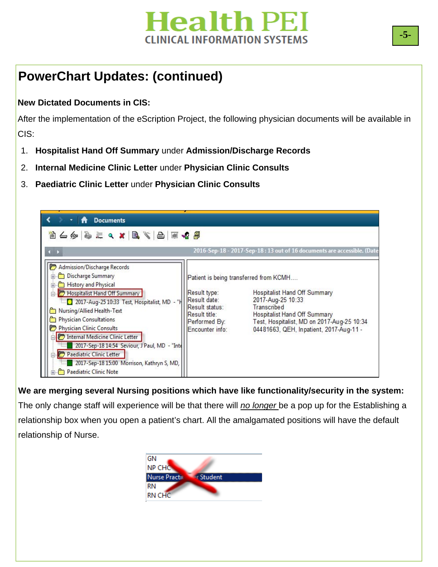

# **PowerChart Updates: (continued)**

#### **New Dictated Documents in CIS:**

After the implementation of the eScription Project, the following physician documents will be available in CIS:

- 1. **Hospitalist Hand Off Summary** under **Admission/Discharge Records**
- 2. **Internal Medicine Clinic Letter** under **Physician Clinic Consults**
- 3. **Paediatric Clinic Letter** under **Physician Clinic Consults**



**We are merging several Nursing positions which have like functionality/security in the system:**  The only change staff will experience will be that there will *no longer* be a pop up for the Establishing a relationship box when you open a patient's chart. All the amalgamated positions will have the default relationship of Nurse.

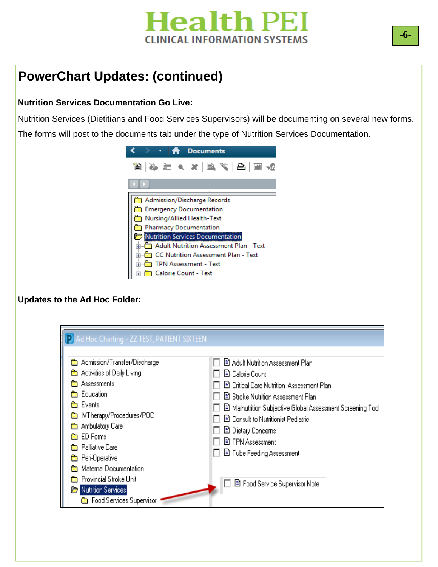# **Health PEI CLINICAL INFORMATION SYSTEMS**

# **PowerChart Updates: (continued)**

#### **Nutrition Services Documentation Go Live:**

Nutrition Services (Dietitians and Food Services Supervisors) will be documenting on several new forms. The forms will post to the documents tab under the type of Nutrition Services Documentation.



#### **Updates to the Ad Hoc Folder:**

| <b>P</b> Ad Hoc Charting - ZZ TEST, PATIENT SIXTEEN<br><b>@</b> Admission/Transfer/Discharge<br><b>Co</b> Activities of Daily Living<br><b>nom</b> Assessments<br><b>s</b> Education<br><b>Exents</b><br><b>En</b> IVTherapy/Procedures/POC<br><b>Em</b> Ambulatory Care<br><b>ED</b> Forms<br><b>Et Palliative Care</b><br><b>E</b> Peri-Operative<br>Maternal Documentation<br><b>REAL</b><br><b>En</b> Provincial Stroke Unit<br>Nutrition Services | 图 Adult Nutrition Assessment Plan<br><b>B</b> Calorie Count<br>■ Critical Care Nutrition Assessment Plan<br>■ Stroke Nutrition Assessment Plan<br>■ Malnutrition Subjective Global Assessment Screening Tool<br>■ Consult to Nutritionist Pediatric<br>目 Dietary Concerns<br><b>■ TPN Assessment</b><br>目 Tube Feeding Assessment<br>图 Food Service Supervisor Note |
|--------------------------------------------------------------------------------------------------------------------------------------------------------------------------------------------------------------------------------------------------------------------------------------------------------------------------------------------------------------------------------------------------------------------------------------------------------|---------------------------------------------------------------------------------------------------------------------------------------------------------------------------------------------------------------------------------------------------------------------------------------------------------------------------------------------------------------------|
|--------------------------------------------------------------------------------------------------------------------------------------------------------------------------------------------------------------------------------------------------------------------------------------------------------------------------------------------------------------------------------------------------------------------------------------------------------|---------------------------------------------------------------------------------------------------------------------------------------------------------------------------------------------------------------------------------------------------------------------------------------------------------------------------------------------------------------------|